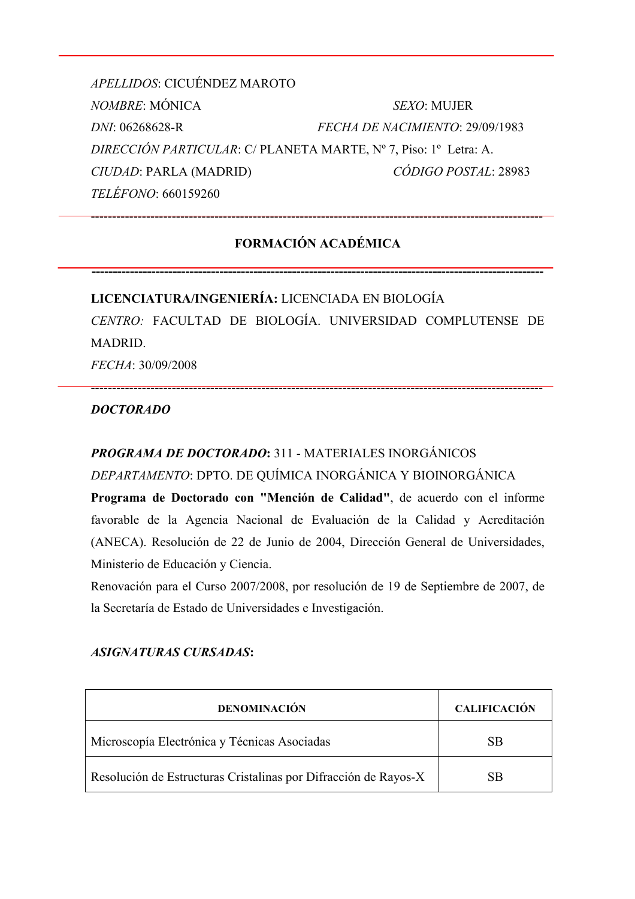*APELLIDOS*: CICUÉNDEZ MAROTO *NOMBRE*: MÓNICA *SEXO*: MUJER *DNI*: 06268628-R *FECHA DE NACIMIENTO*: 29/09/1983 *DIRECCIÓN PARTICULAR*: C/ PLANETA MARTE, Nº 7, Piso: 1º Letra: A. *CIUDAD*: PARLA (MADRID) *CÓDIGO POSTAL*: 28983 *TELÉFONO*: 660159260

# **FORMACIÓN ACADÉMICA**

**----------------------------------------------------------------------------------------------------------**

----------------------------------------------------------------------------------------------------------

**LICENCIATURA/INGENIERÍA:** LICENCIADA EN BIOLOGÍA *CENTRO:* FACULTAD DE BIOLOGÍA. UNIVERSIDAD COMPLUTENSE DE MADRID. *FECHA*: 30/09/2008

----------------------------------------------------------------------------------------------------------

## *DOCTORADO*

# *PROGRAMA DE DOCTORADO***:** 311 - MATERIALES INORGÁNICOS

## *DEPARTAMENTO*: DPTO. DE QUÍMICA INORGÁNICA Y BIOINORGÁNICA

**Programa de Doctorado con "Mención de Calidad"**, de acuerdo con el informe favorable de la Agencia Nacional de Evaluación de la Calidad y Acreditación (ANECA). Resolución de 22 de Junio de 2004, Dirección General de Universidades, Ministerio de Educación y Ciencia.

Renovación para el Curso 2007/2008, por resolución de 19 de Septiembre de 2007, de la Secretaría de Estado de Universidades e Investigación.

#### *ASIGNATURAS CURSADAS***:**

| <b>DENOMINACIÓN</b>                                             | <b>CALIFICACIÓN</b> |
|-----------------------------------------------------------------|---------------------|
| Microscopía Electrónica y Técnicas Asociadas                    | SB                  |
| Resolución de Estructuras Cristalinas por Difracción de Rayos-X | SB                  |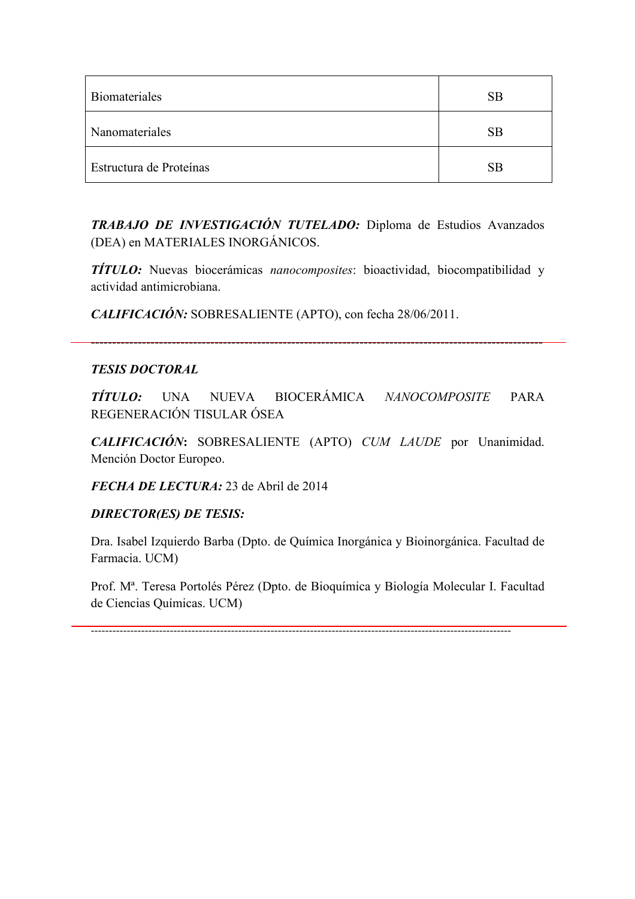| Biomateriales           | SB        |
|-------------------------|-----------|
| Nanomateriales          | <b>SB</b> |
| Estructura de Proteínas | SB        |

*TRABAJO DE INVESTIGACIÓN TUTELADO:* Diploma de Estudios Avanzados (DEA) en MATERIALES INORGÁNICOS.

*TÍTULO:* Nuevas biocerámicas *nanocomposites*: bioactividad, biocompatibilidad y actividad antimicrobiana.

*CALIFICACIÓN:* SOBRESALIENTE (APTO), con fecha 28/06/2011.

## *TESIS DOCTORAL*

*TÍTULO:* UNA NUEVA BIOCERÁMICA *NANOCOMPOSITE* PARA REGENERACIÓN TISULAR ÓSEA

----------------------------------------------------------------------------------------------------------

*CALIFICACIÓN***:** SOBRESALIENTE (APTO) *CUM LAUDE* por Unanimidad. Mención Doctor Europeo.

*FECHA DE LECTURA:* 23 de Abril de 2014

# *DIRECTOR(ES) DE TESIS:*

Dra. Isabel Izquierdo Barba (Dpto. de Química Inorgánica y Bioinorgánica. Facultad de Farmacia. UCM)

Prof. Mª. Teresa Portolés Pérez (Dpto. de Bioquímica y Biología Molecular I. Facultad de Ciencias Químicas. UCM)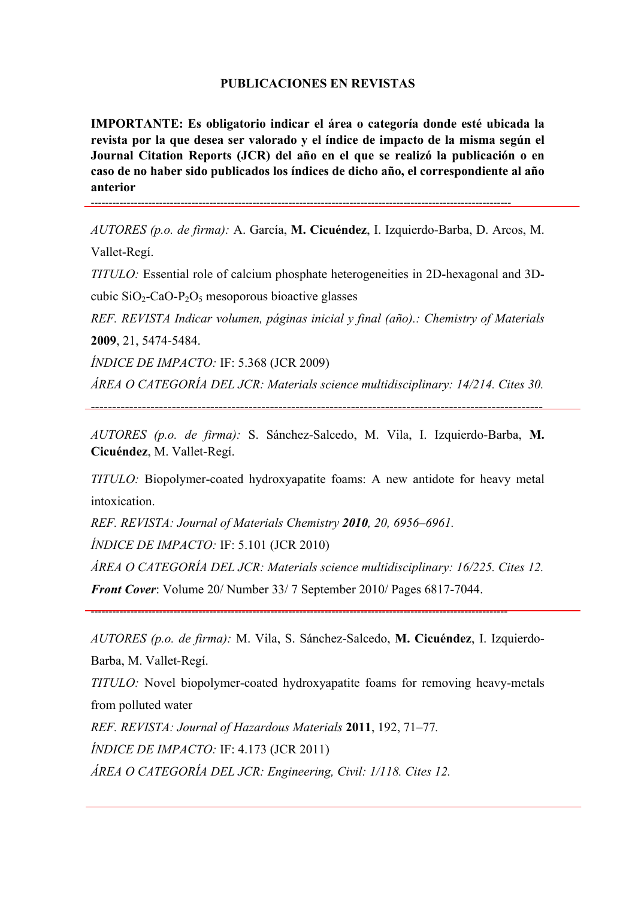#### **PUBLICACIONES EN REVISTAS**

**IMPORTANTE: Es obligatorio indicar el área o categoría donde esté ubicada la revista por la que desea ser valorado y el índice de impacto de la misma según el Journal Citation Reports (JCR) del año en el que se realizó la publicación o en caso de no haber sido publicados los índices de dicho año, el correspondiente al año anterior**

---------------------------------------------------------------------------------------------------------------------

*AUTORES (p.o. de firma):* A. García, **M. Cicuéndez**, I. Izquierdo-Barba, D. Arcos, M. Vallet-Regí.

*TITULO:* Essential role of calcium phosphate heterogeneities in 2D-hexagonal and 3Dcubic  $SiO_2$ -CaO-P<sub>2</sub>O<sub>5</sub> mesoporous bioactive glasses

*REF. REVISTA Indicar volumen, páginas inicial y final (año).: Chemistry of Materials* **2009**, 21, 5474-5484.

*ÍNDICE DE IMPACTO:* IF: 5.368 (JCR 2009)

*ÁREA O CATEGORÍA DEL JCR: Materials science multidisciplinary: 14/214. Cites 30.* 

----------------------------------------------------------------------------------------------------------

*AUTORES (p.o. de firma):* S. Sánchez-Salcedo, M. Vila, I. Izquierdo-Barba, **M. Cicuéndez**, M. Vallet-Regí.

*TITULO:* Biopolymer-coated hydroxyapatite foams: A new antidote for heavy metal intoxication.

*REF. REVISTA: Journal of Materials Chemistry 2010, 20, 6956–6961.* 

*ÍNDICE DE IMPACTO:* IF: 5.101 (JCR 2010)

*ÁREA O CATEGORÍA DEL JCR: Materials science multidisciplinary: 16/225. Cites 12.*

*Front Cover*: Volume 20/ Number 33/ 7 September 2010/ Pages 6817-7044.

--------------------------------------------------------------------------------------------------------------------

*AUTORES (p.o. de firma):* M. Vila, S. Sánchez-Salcedo, **M. Cicuéndez**, I. Izquierdo-Barba, M. Vallet-Regí.

*TITULO:* Novel biopolymer-coated hydroxyapatite foams for removing heavy-metals from polluted water

*REF. REVISTA: Journal of Hazardous Materials* **2011**, 192, 71–77*. ÍNDICE DE IMPACTO:* IF: 4.173 (JCR 2011) *ÁREA O CATEGORÍA DEL JCR: Engineering, Civil: 1/118. Cites 12.*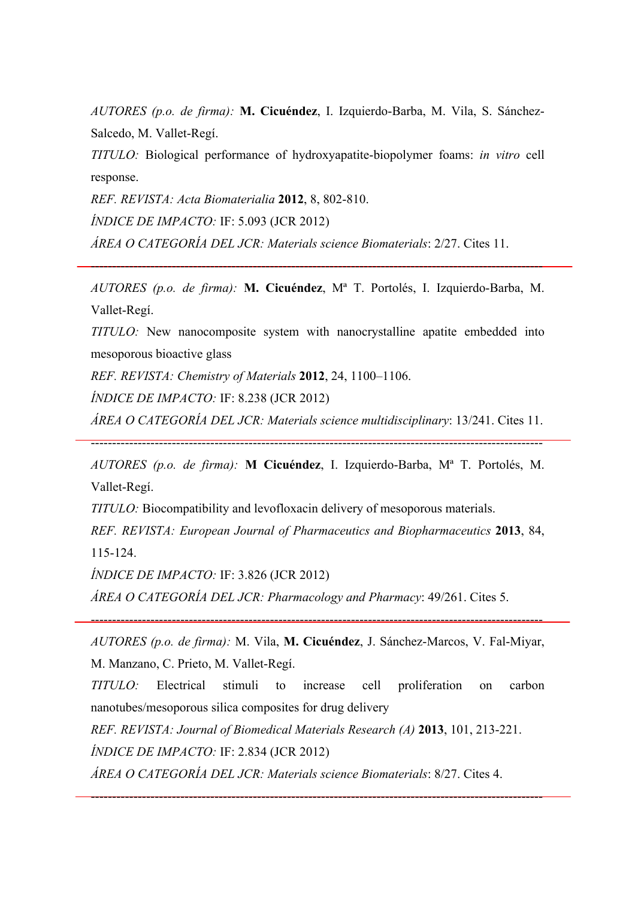*AUTORES (p.o. de firma):* **M. Cicuéndez**, I. Izquierdo-Barba, M. Vila, S. Sánchez-Salcedo, M. Vallet-Regí.

*TITULO:* Biological performance of hydroxyapatite-biopolymer foams: *in vitro* cell response.

*REF. REVISTA: Acta Biomaterialia* **2012**, 8, 802-810.

*ÍNDICE DE IMPACTO:* IF: 5.093 (JCR 2012)

*ÁREA O CATEGORÍA DEL JCR: Materials science Biomaterials*: 2/27. Cites 11.

*AUTORES (p.o. de firma):* **M. Cicuéndez**, Mª T. Portolés, I. Izquierdo-Barba, M. Vallet-Regí.

----------------------------------------------------------------------------------------------------------

*TITULO:* New nanocomposite system with nanocrystalline apatite embedded into mesoporous bioactive glass

*REF. REVISTA: Chemistry of Materials* **2012**, 24, 1100–1106.

*ÍNDICE DE IMPACTO:* IF: 8.238 (JCR 2012)

*ÁREA O CATEGORÍA DEL JCR: Materials science multidisciplinary*: 13/241. Cites 11.

----------------------------------------------------------------------------------------------------------

*AUTORES (p.o. de firma):* **M Cicuéndez**, I. Izquierdo-Barba, Mª T. Portolés, M.

Vallet-Regí.

*TITULO:* Biocompatibility and levofloxacin delivery of mesoporous materials.

*REF. REVISTA: European Journal of Pharmaceutics and Biopharmaceutics* **2013**, 84, 115-124.

*ÍNDICE DE IMPACTO:* IF: 3.826 (JCR 2012)

*ÁREA O CATEGORÍA DEL JCR: Pharmacology and Pharmacy*: 49/261. Cites 5.

*AUTORES (p.o. de firma):* M. Vila, **M. Cicuéndez**, J. Sánchez-Marcos, V. Fal-Miyar,

----------------------------------------------------------------------------------------------------------

M. Manzano, C. Prieto, M. Vallet-Regí.

*TITULO:* Electrical stimuli to increase cell proliferation on carbon nanotubes/mesoporous silica composites for drug delivery

----------------------------------------------------------------------------------------------------------

*REF. REVISTA: Journal of Biomedical Materials Research (A)* **2013**, 101, 213-221. *ÍNDICE DE IMPACTO:* IF: 2.834 (JCR 2012)

*ÁREA O CATEGORÍA DEL JCR: Materials science Biomaterials*: 8/27. Cites 4.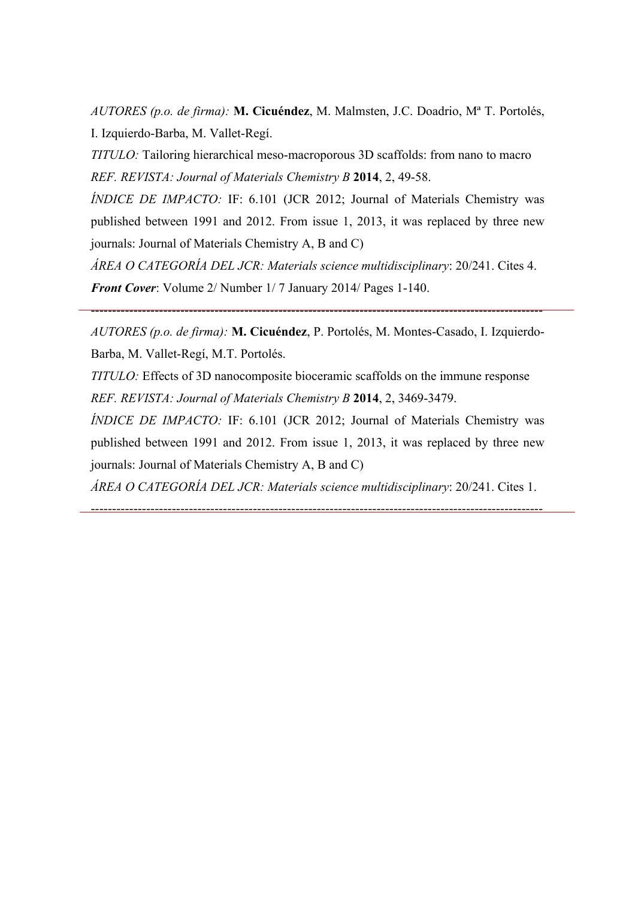*AUTORES (p.o. de firma):* **M. Cicuéndez**, M. Malmsten, J.C. Doadrio, Mª T. Portolés, I. Izquierdo-Barba, M. Vallet-Regí.

*TITULO:* Tailoring hierarchical meso-macroporous 3D scaffolds: from nano to macro *REF. REVISTA: Journal of Materials Chemistry B* **2014**, 2, 49-58.

*ÍNDICE DE IMPACTO:* IF: 6.101 (JCR 2012; Journal of Materials Chemistry was published between 1991 and 2012. From issue 1, 2013, it was replaced by three new journals: Journal of Materials Chemistry A, B and C)

*ÁREA O CATEGORÍA DEL JCR: Materials science multidisciplinary*: 20/241. Cites 4. *Front Cover*: Volume 2/ Number 1/ 7 January 2014/ Pages 1-140.

*AUTORES (p.o. de firma):* **M. Cicuéndez**, P. Portolés, M. Montes-Casado, I. Izquierdo-Barba, M. Vallet-Regí, M.T. Portolés.

----------------------------------------------------------------------------------------------------------

*TITULO:* Effects of 3D nanocomposite bioceramic scaffolds on the immune response *REF. REVISTA: Journal of Materials Chemistry B* **2014**, 2, 3469-3479.

*ÍNDICE DE IMPACTO: IF: 6.101 (JCR 2012; Journal of Materials Chemistry was* published between 1991 and 2012. From issue 1, 2013, it was replaced by three new journals: Journal of Materials Chemistry A, B and C)

*ÁREA O CATEGORÍA DEL JCR: Materials science multidisciplinary*: 20/241. Cites 1.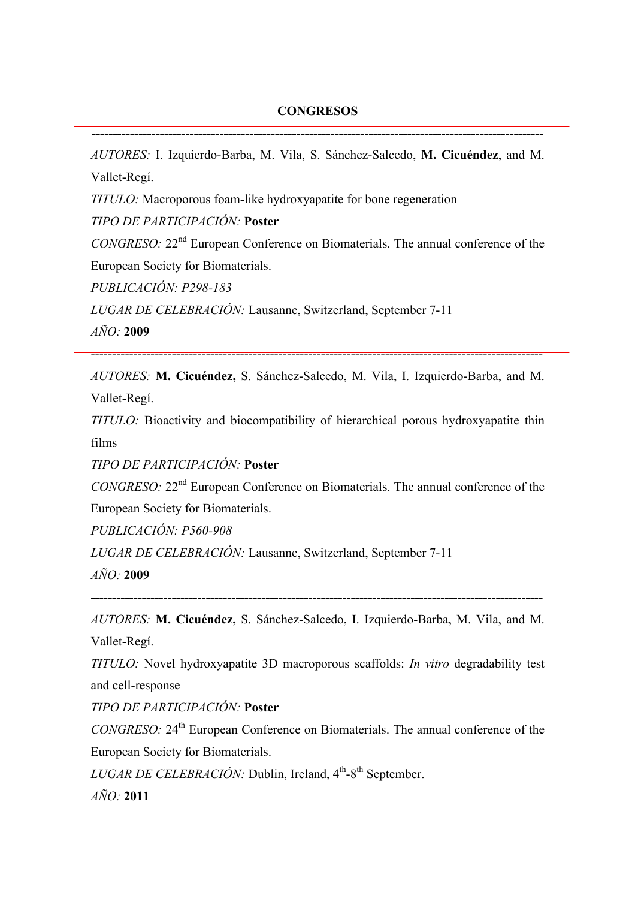#### **CONGRESOS**

**----------------------------------------------------------------------------------------------------------**

*AUTORES:* I. Izquierdo-Barba, M. Vila, S. Sánchez-Salcedo, **M. Cicuéndez**, and M. Vallet-Regí.

*TITULO:* Macroporous foam-like hydroxyapatite for bone regeneration

*TIPO DE PARTICIPACIÓN:* **Poster**

*CONGRESO:* 22nd European Conference on Biomaterials. The annual conference of the European Society for Biomaterials.

*PUBLICACIÓN: P298-183*

*LUGAR DE CELEBRACIÓN:* Lausanne, Switzerland, September 7-11

*AÑO:* **2009**

----------------------------------------------------------------------------------------------------------

*AUTORES:* **M. Cicuéndez,** S. Sánchez-Salcedo, M. Vila, I. Izquierdo-Barba, and M. Vallet-Regí.

*TITULO:* Bioactivity and biocompatibility of hierarchical porous hydroxyapatite thin films

*TIPO DE PARTICIPACIÓN:* **Poster**

*CONGRESO:* 22nd European Conference on Biomaterials. The annual conference of the European Society for Biomaterials.

*PUBLICACIÓN: P560-908*

*LUGAR DE CELEBRACIÓN:* Lausanne, Switzerland, September 7-11

*AÑO:* **2009**

*AUTORES:* **M. Cicuéndez,** S. Sánchez-Salcedo, I. Izquierdo-Barba, M. Vila, and M. Vallet-Regí.

**----------------------------------------------------------------------------------------------------------**

*TITULO:* Novel hydroxyapatite 3D macroporous scaffolds: *In vitro* degradability test and cell-response

*TIPO DE PARTICIPACIÓN:* **Poster**

*CONGRESO:* 24th European Conference on Biomaterials. The annual conference of the European Society for Biomaterials.

*LUGAR DE CELEBRACIÓN: Dublin, Ireland, 4<sup>th</sup>-8<sup>th</sup> September.* 

*AÑO:* **2011**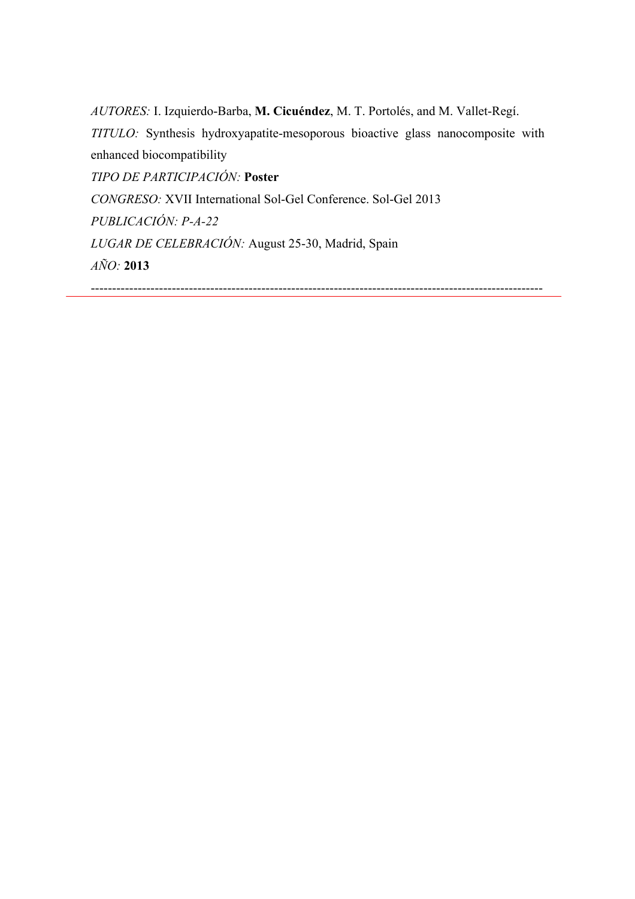*AUTORES:* I. Izquierdo-Barba, **M. Cicuéndez**, M. T. Portolés, and M. Vallet-Regí. *TITULO:* Synthesis hydroxyapatite-mesoporous bioactive glass nanocomposite with enhanced biocompatibility *TIPO DE PARTICIPACIÓN:* **Poster** *CONGRESO:* XVII International Sol-Gel Conference. Sol-Gel 2013 *PUBLICACIÓN: P-A-22 LUGAR DE CELEBRACIÓN:* August 25-30, Madrid, Spain *AÑO:* **2013** ----------------------------------------------------------------------------------------------------------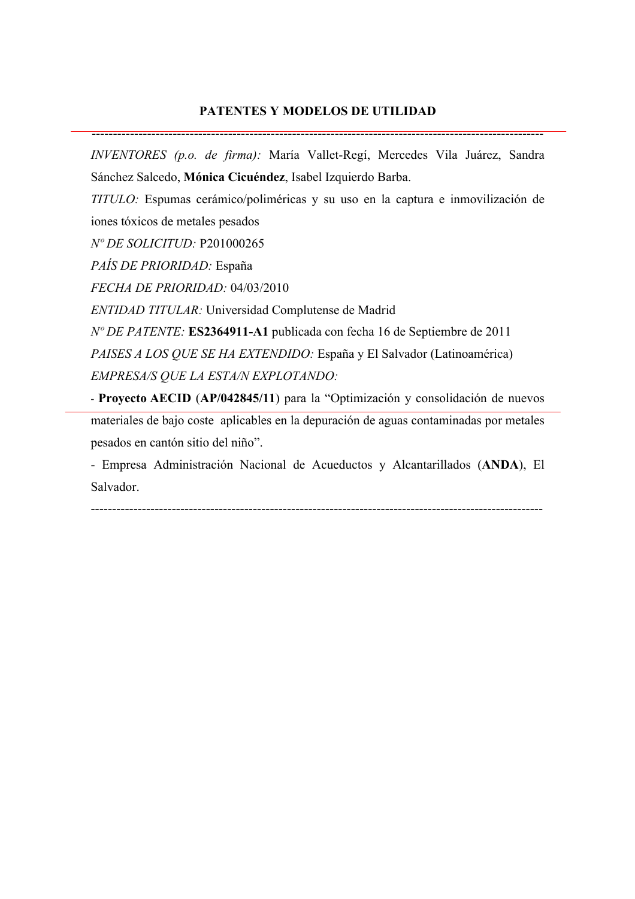### **PATENTES Y MODELOS DE UTILIDAD**

----------------------------------------------------------------------------------------------------------

*INVENTORES (p.o. de firma):* María Vallet-Regí, Mercedes Vila Juárez, Sandra Sánchez Salcedo, **Mónica Cicuéndez**, Isabel Izquierdo Barba.

*TITULO:* Espumas cerámico/poliméricas y su uso en la captura e inmovilización de iones tóxicos de metales pesados

*Nº DE SOLICITUD:* P201000265

*PAÍS DE PRIORIDAD:* España

*FECHA DE PRIORIDAD:* 04/03/2010

*ENTIDAD TITULAR:* Universidad Complutense de Madrid

*Nº DE PATENTE:* **ES2364911-A1** publicada con fecha 16 de Septiembre de 2011 *PAISES A LOS QUE SE HA EXTENDIDO:* España y El Salvador (Latinoamérica) *EMPRESA/S QUE LA ESTA/N EXPLOTANDO:*

- **Proyecto AECID** (**AP/042845/11**) para la "Optimización y consolidación de nuevos materiales de bajo coste aplicables en la depuración de aguas contaminadas por metales pesados en cantón sitio del niño".

- Empresa Administración Nacional de Acueductos y Alcantarillados (**ANDA**), El Salvador.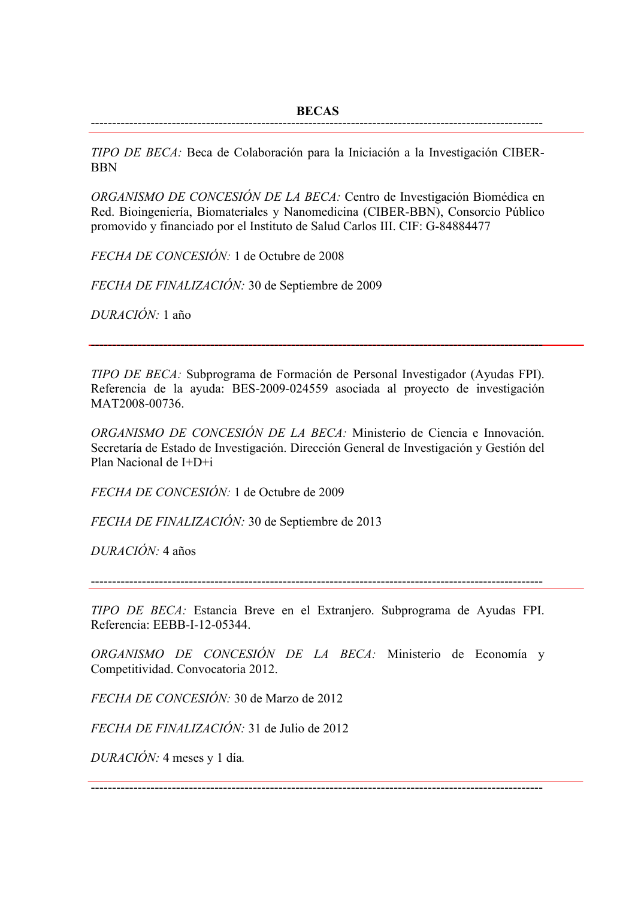*TIPO DE BECA:* Beca de Colaboración para la Iniciación a la Investigación CIBER-BBN

*ORGANISMO DE CONCESIÓN DE LA BECA:* Centro de Investigación Biomédica en Red. Bioingeniería, Biomateriales y Nanomedicina (CIBER-BBN), Consorcio Público promovido y financiado por el Instituto de Salud Carlos III. CIF: G-84884477

*FECHA DE CONCESIÓN:* 1 de Octubre de 2008

*FECHA DE FINALIZACIÓN:* 30 de Septiembre de 2009

*DURACIÓN:* 1 año

*TIPO DE BECA:* Subprograma de Formación de Personal Investigador (Ayudas FPI). Referencia de la ayuda: BES-2009-024559 asociada al proyecto de investigación MAT2008-00736.

----------------------------------------------------------------------------------------------------------

*ORGANISMO DE CONCESIÓN DE LA BECA:* Ministerio de Ciencia e Innovación. Secretaría de Estado de Investigación. Dirección General de Investigación y Gestión del Plan Nacional de I+D+i

*FECHA DE CONCESIÓN:* 1 de Octubre de 2009

*FECHA DE FINALIZACIÓN:* 30 de Septiembre de 2013

*DURACIÓN:* 4 años

----------------------------------------------------------------------------------------------------------

*TIPO DE BECA:* Estancia Breve en el Extranjero. Subprograma de Ayudas FPI. Referencia: EEBB-I-12-05344.

*ORGANISMO DE CONCESIÓN DE LA BECA:* Ministerio de Economía y Competitividad. Convocatoria 2012.

*FECHA DE CONCESIÓN:* 30 de Marzo de 2012

*FECHA DE FINALIZACIÓN:* 31 de Julio de 2012

*DURACIÓN:* 4 meses y 1 día*.*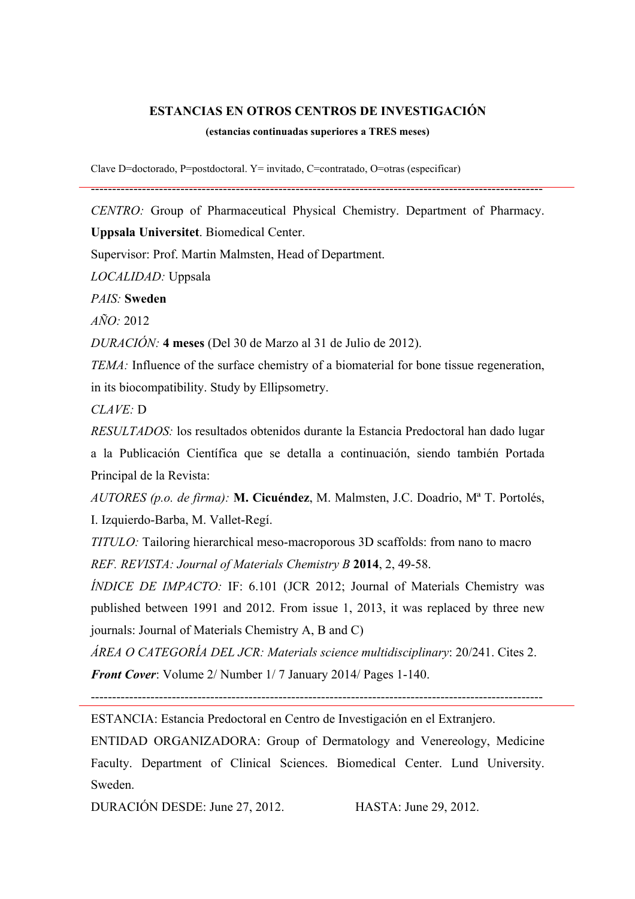### **ESTANCIAS EN OTROS CENTROS DE INVESTIGACIÓN**

#### **(estancias continuadas superiores a TRES meses)**

Clave D=doctorado, P=postdoctoral. Y= invitado, C=contratado, O=otras (especificar)

*CENTRO:* Group of Pharmaceutical Physical Chemistry. Department of Pharmacy.

----------------------------------------------------------------------------------------------------------

**Uppsala Universitet**. Biomedical Center.

Supervisor: Prof. Martin Malmsten, Head of Department.

*LOCALIDAD:* Uppsala

*PAIS:* **Sweden**

*AÑO:* 2012

*DURACIÓN:* **4 meses** (Del 30 de Marzo al 31 de Julio de 2012).

*TEMA*: Influence of the surface chemistry of a biomaterial for bone tissue regeneration, in its biocompatibility. Study by Ellipsometry.

*CLAVE:* D

*RESULTADOS:* los resultados obtenidos durante la Estancia Predoctoral han dado lugar a la Publicación Científica que se detalla a continuación, siendo también Portada Principal de la Revista:

*AUTORES (p.o. de firma):* **M. Cicuéndez**, M. Malmsten, J.C. Doadrio, Mª T. Portolés, I. Izquierdo-Barba, M. Vallet-Regí.

*TITULO:* Tailoring hierarchical meso-macroporous 3D scaffolds: from nano to macro *REF. REVISTA: Journal of Materials Chemistry B* **2014**, 2, 49-58.

*ÍNDICE DE IMPACTO:* IF: 6.101 (JCR 2012; Journal of Materials Chemistry was published between 1991 and 2012. From issue 1, 2013, it was replaced by three new journals: Journal of Materials Chemistry A, B and C)

*ÁREA O CATEGORÍA DEL JCR: Materials science multidisciplinary*: 20/241. Cites 2. *Front Cover*: Volume 2/ Number 1/ 7 January 2014/ Pages 1-140.

----------------------------------------------------------------------------------------------------------

ESTANCIA: Estancia Predoctoral en Centro de Investigación en el Extranjero.

ENTIDAD ORGANIZADORA: Group of Dermatology and Venereology, Medicine Faculty. Department of Clinical Sciences. Biomedical Center. Lund University. Sweden.

DURACIÓN DESDE: June 27, 2012. HASTA: June 29, 2012.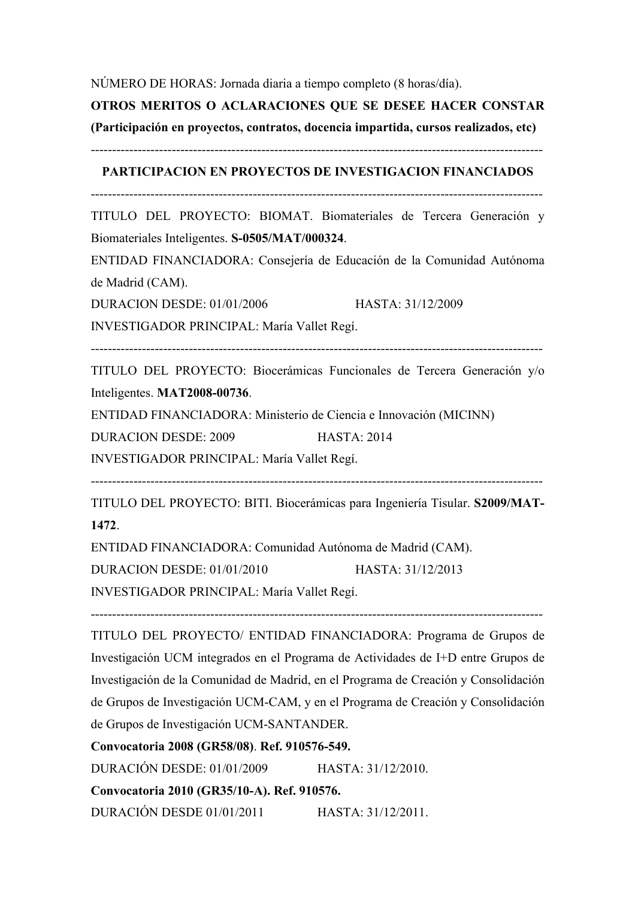## NÚMERO DE HORAS: Jornada diaria a tiempo completo (8 horas/día).

## **OTROS MERITOS O ACLARACIONES QUE SE DESEE HACER CONSTAR**

**(Participación en proyectos, contratos, docencia impartida, cursos realizados, etc)** 

----------------------------------------------------------------------------------------------------------

## **PARTICIPACION EN PROYECTOS DE INVESTIGACION FINANCIADOS**

----------------------------------------------------------------------------------------------------------

TITULO DEL PROYECTO: BIOMAT. Biomateriales de Tercera Generación y Biomateriales Inteligentes. **S-0505/MAT/000324**.

ENTIDAD FINANCIADORA: Consejería de Educación de la Comunidad Autónoma de Madrid (CAM).

DURACION DESDE: 01/01/2006 HASTA: 31/12/2009

INVESTIGADOR PRINCIPAL: María Vallet Regí.

----------------------------------------------------------------------------------------------------------

TITULO DEL PROYECTO: Biocerámicas Funcionales de Tercera Generación y/o Inteligentes. **MAT2008-00736**.

ENTIDAD FINANCIADORA: Ministerio de Ciencia e Innovación (MICINN)

DURACION DESDE: 2009 HASTA: 2014

INVESTIGADOR PRINCIPAL: María Vallet Regí.

----------------------------------------------------------------------------------------------------------

TITULO DEL PROYECTO: BITI. Biocerámicas para Ingeniería Tisular. **S2009/MAT-1472**.

ENTIDAD FINANCIADORA: Comunidad Autónoma de Madrid (CAM).

DURACION DESDE: 01/01/2010 HASTA: 31/12/2013

INVESTIGADOR PRINCIPAL: María Vallet Regí.

TITULO DEL PROYECTO/ ENTIDAD FINANCIADORA: Programa de Grupos de Investigación UCM integrados en el Programa de Actividades de I+D entre Grupos de Investigación de la Comunidad de Madrid, en el Programa de Creación y Consolidación de Grupos de Investigación UCM-CAM, y en el Programa de Creación y Consolidación de Grupos de Investigación UCM-SANTANDER.

----------------------------------------------------------------------------------------------------------

**Convocatoria 2008 (GR58/08)**. **Ref. 910576-549.** DURACIÓN DESDE: 01/01/2009 HASTA: 31/12/2010. **Convocatoria 2010 (GR35/10-A). Ref. 910576.**

DURACIÓN DESDE 01/01/2011 HASTA: 31/12/2011.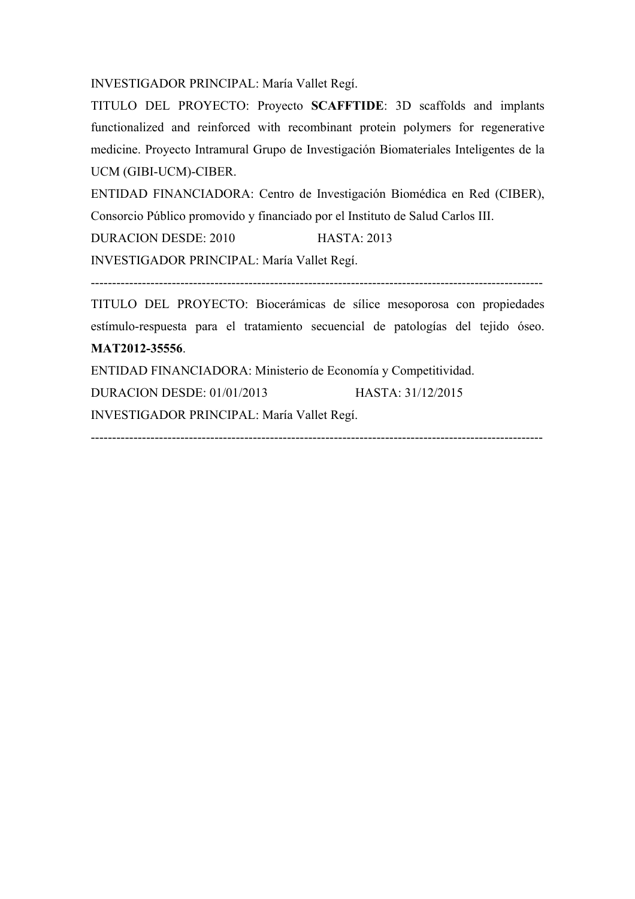INVESTIGADOR PRINCIPAL: María Vallet Regí.

TITULO DEL PROYECTO: Proyecto **SCAFFTIDE**: 3D scaffolds and implants functionalized and reinforced with recombinant protein polymers for regenerative medicine. Proyecto Intramural Grupo de Investigación Biomateriales Inteligentes de la UCM (GIBI-UCM)-CIBER.

ENTIDAD FINANCIADORA: Centro de Investigación Biomédica en Red (CIBER), Consorcio Público promovido y financiado por el Instituto de Salud Carlos III.

DURACION DESDE: 2010 HASTA: 2013

INVESTIGADOR PRINCIPAL: María Vallet Regí.

----------------------------------------------------------------------------------------------------------

TITULO DEL PROYECTO: Biocerámicas de sílice mesoporosa con propiedades estímulo-respuesta para el tratamiento secuencial de patologías del tejido óseo. **MAT2012-35556**.

----------------------------------------------------------------------------------------------------------

ENTIDAD FINANCIADORA: Ministerio de Economía y Competitividad. DURACION DESDE: 01/01/2013 HASTA: 31/12/2015 INVESTIGADOR PRINCIPAL: María Vallet Regí.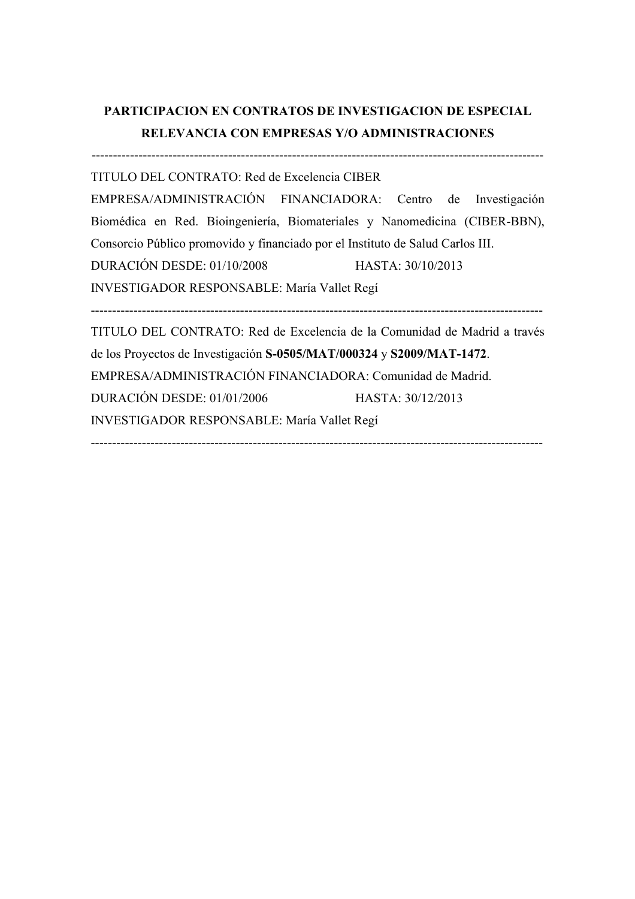# **PARTICIPACION EN CONTRATOS DE INVESTIGACION DE ESPECIAL RELEVANCIA CON EMPRESAS Y/O ADMINISTRACIONES**

---------------------------------------------------------------------------------------------------------- TITULO DEL CONTRATO: Red de Excelencia CIBER EMPRESA/ADMINISTRACIÓN FINANCIADORA: Centro de Investigación Biomédica en Red. Bioingeniería, Biomateriales y Nanomedicina (CIBER-BBN), Consorcio Público promovido y financiado por el Instituto de Salud Carlos III. DURACIÓN DESDE: 01/10/2008 HASTA: 30/10/2013 INVESTIGADOR RESPONSABLE: María Vallet Regí ---------------------------------------------------------------------------------------------------------- TITULO DEL CONTRATO: Red de Excelencia de la Comunidad de Madrid a través de los Proyectos de Investigación **S-0505/MAT/000324** y **S2009/MAT-1472**. EMPRESA/ADMINISTRACIÓN FINANCIADORA: Comunidad de Madrid. DURACIÓN DESDE: 01/01/2006 HASTA: 30/12/2013

 $-$ 

INVESTIGADOR RESPONSABLE: María Vallet Regí